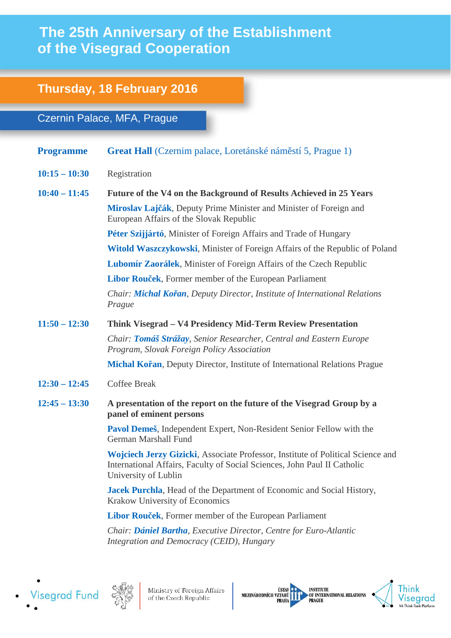## **The 25th Anniversary of the Establishment of the Visegrad Cooperation**

## **Thursday, 18 February 2016**

## Czernin Palace, MFA, Prague

- **Programme Great Hall** (Czernim palace, Loretánské náměstí 5, Prague 1)
- **10:15 – 10:30** Registration
- **10:40 – 11:45 Future of the V4 on the Background of Results Achieved in 25 Years Miroslav Lajčák**, Deputy Prime Minister and Minister of Foreign and European Affairs of the Slovak Republic

**Péter Szijjártó**, Minister of Foreign Affairs and Trade of Hungary

**Witold Waszczykowski**, Minister of Foreign Affairs of the Republic of Poland

**Lubomír Zaorálek**, Minister of Foreign Affairs of the Czech Republic

**Libor Rouček**, Former member of the European Parliament

*Chair: Michal Kořan, Deputy Director, Institute of International Relations Prague* 

## **11:50 – 12:30 Think Visegrad – V4 Presidency Mid-Term Review Presentation**

*Chair: Tomáš Strážay, Senior Researcher, Central and Eastern Europe Program, Slovak Foreign Policy Association*

**Michal Kořan**, Deputy Director, Institute of International Relations Prague

- **12:30 – 12:45** Coffee Break
- **12:45 – 13:30 A presentation of the report on the future of the Visegrad Group by a panel of eminent persons**

**Pavol Demeš**, Independent Expert, Non-Resident Senior Fellow with the German Marshall Fund

**Wojciech Jerzy Gizicki**, Associate Professor, Institute of Political Science and International Affairs, Faculty of Social Sciences, John Paul II Catholic University of Lublin

**Jacek Purchla**, Head of the Department of Economic and Social History, Krakow University of Economics

**Libor Rouček**, Former member of the European Parliament

*Chair: Dániel Bartha, Executive Director, Centre for Euro-Atlantic Integration and Democracy (CEID), Hungary*





Ministry of Foreign Affairs of the Czech Republic